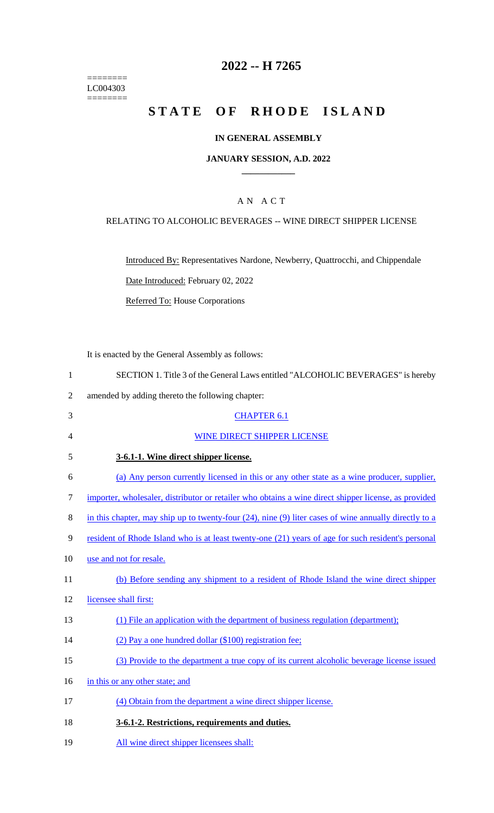======== LC004303 ========

## **2022 -- H 7265**

# **STATE OF RHODE ISLAND**

#### **IN GENERAL ASSEMBLY**

#### **JANUARY SESSION, A.D. 2022 \_\_\_\_\_\_\_\_\_\_\_\_**

### A N A C T

#### RELATING TO ALCOHOLIC BEVERAGES -- WINE DIRECT SHIPPER LICENSE

Introduced By: Representatives Nardone, Newberry, Quattrocchi, and Chippendale Date Introduced: February 02, 2022 Referred To: House Corporations

It is enacted by the General Assembly as follows:

| SECTION 1. Title 3 of the General Laws entitled "ALCOHOLIC BEVERAGES" is hereby |  |
|---------------------------------------------------------------------------------|--|
|                                                                                 |  |

- 2 amended by adding thereto the following chapter:
- 3 CHAPTER 6.1 4 WINE DIRECT SHIPPER LICENSE 5 **3-6.1-1. Wine direct shipper license.**  6 (a) Any person currently licensed in this or any other state as a wine producer, supplier, 7 importer, wholesaler, distributor or retailer who obtains a wine direct shipper license, as provided 8 in this chapter, may ship up to twenty-four (24), nine (9) liter cases of wine annually directly to a 9 resident of Rhode Island who is at least twenty-one (21) years of age for such resident's personal 10 use and not for resale. 11 (b) Before sending any shipment to a resident of Rhode Island the wine direct shipper 12 licensee shall first: 13 (1) File an application with the department of business regulation (department); 14 (2) Pay a one hundred dollar (\$100) registration fee; 15 (3) Provide to the department a true copy of its current alcoholic beverage license issued 16 in this or any other state; and 17 (4) Obtain from the department a wine direct shipper license. 18 **3-6.1-2. Restrictions, requirements and duties.** 19 All wine direct shipper licensees shall: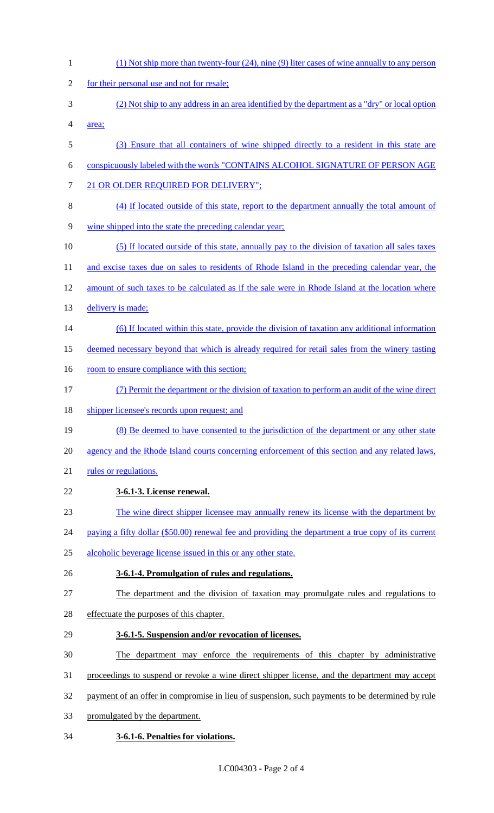(1) Not ship more than twenty-four (24), nine (9) liter cases of wine annually to any person 2 for their personal use and not for resale; (2) Not ship to any address in an area identified by the department as a "dry" or local option area; (3) Ensure that all containers of wine shipped directly to a resident in this state are conspicuously labeled with the words "CONTAINS ALCOHOL SIGNATURE OF PERSON AGE 7 21 OR OLDER REQUIRED FOR DELIVERY"; (4) If located outside of this state, report to the department annually the total amount of wine shipped into the state the preceding calendar year; (5) If located outside of this state, annually pay to the division of taxation all sales taxes 11 and excise taxes due on sales to residents of Rhode Island in the preceding calendar year, the amount of such taxes to be calculated as if the sale were in Rhode Island at the location where 13 delivery is made; (6) If located within this state, provide the division of taxation any additional information deemed necessary beyond that which is already required for retail sales from the winery tasting 16 room to ensure compliance with this section; (7) Permit the department or the division of taxation to perform an audit of the wine direct 18 shipper licensee's records upon request; and (8) Be deemed to have consented to the jurisdiction of the department or any other state agency and the Rhode Island courts concerning enforcement of this section and any related laws, 21 rules or regulations. **3-6.1-3. License renewal.** The wine direct shipper licensee may annually renew its license with the department by 24 paying a fifty dollar (\$50.00) renewal fee and providing the department a true copy of its current alcoholic beverage license issued in this or any other state. **3-6.1-4. Promulgation of rules and regulations.** The department and the division of taxation may promulgate rules and regulations to effectuate the purposes of this chapter. **3-6.1-5. Suspension and/or revocation of licenses.** The department may enforce the requirements of this chapter by administrative proceedings to suspend or revoke a wine direct shipper license, and the department may accept payment of an offer in compromise in lieu of suspension, such payments to be determined by rule promulgated by the department. **3-6.1-6. Penalties for violations.**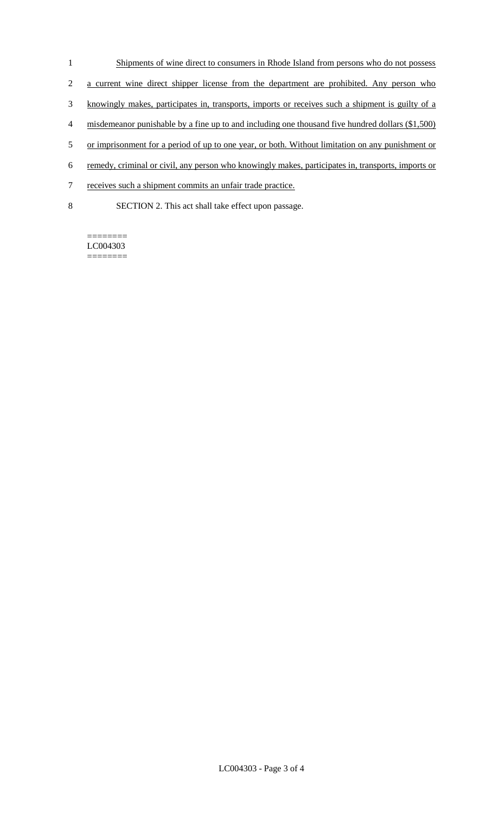- 1 Shipments of wine direct to consumers in Rhode Island from persons who do not possess
- 2 a current wine direct shipper license from the department are prohibited. Any person who
- 3 knowingly makes, participates in, transports, imports or receives such a shipment is guilty of a
- 4 misdemeanor punishable by a fine up to and including one thousand five hundred dollars (\$1,500)
- 5 or imprisonment for a period of up to one year, or both. Without limitation on any punishment or
- 6 remedy, criminal or civil, any person who knowingly makes, participates in, transports, imports or
- 7 receives such a shipment commits an unfair trade practice.
- 8 SECTION 2. This act shall take effect upon passage.

======== LC004303 ========